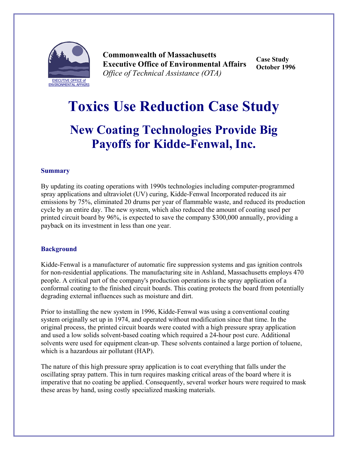

**Commonwealth of Massachusetts Executive Office of Environmental Affairs**  *Office of Technical Assistance (OTA)*

**Case Study October 1996** 

# **Toxics Use Reduction Case Study**

## **New Coating Technologies Provide Big Payoffs for Kidde-Fenwal, Inc.**

#### **Summary**

By updating its coating operations with 1990s technologies including computer-programmed spray applications and ultraviolet (UV) curing, Kidde-Fenwal Incorporated reduced its air emissions by 75%, eliminated 20 drums per year of flammable waste, and reduced its production cycle by an entire day. The new system, which also reduced the amount of coating used per printed circuit board by 96%, is expected to save the company \$300,000 annually, providing a payback on its investment in less than one year.

#### **Background**

Kidde-Fenwal is a manufacturer of automatic fire suppression systems and gas ignition controls for non-residential applications. The manufacturing site in Ashland, Massachusetts employs 470 people. A critical part of the company's production operations is the spray application of a conformal coating to the finished circuit boards. This coating protects the board from potentially degrading external influences such as moisture and dirt.

Prior to installing the new system in 1996, Kidde-Fenwal was using a conventional coating system originally set up in 1974, and operated without modification since that time. In the original process, the printed circuit boards were coated with a high pressure spray application and used a low solids solvent-based coating which required a 24-hour post cure. Additional solvents were used for equipment clean-up. These solvents contained a large portion of toluene, which is a hazardous air pollutant (HAP).

The nature of this high pressure spray application is to coat everything that falls under the oscillating spray pattern. This in turn requires masking critical areas of the board where it is imperative that no coating be applied. Consequently, several worker hours were required to mask these areas by hand, using costly specialized masking materials.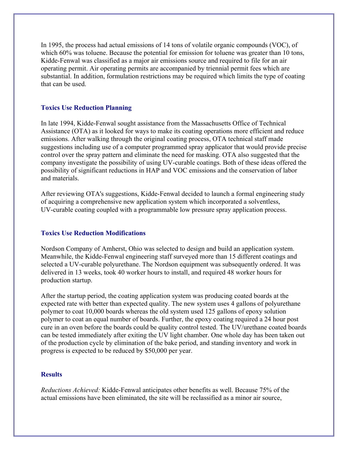In 1995, the process had actual emissions of 14 tons of volatile organic compounds (VOC), of which 60% was toluene. Because the potential for emission for toluene was greater than 10 tons, Kidde-Fenwal was classified as a major air emissions source and required to file for an air operating permit. Air operating permits are accompanied by triennial permit fees which are substantial. In addition, formulation restrictions may be required which limits the type of coating that can be used.

### **Toxics Use Reduction Planning**

In late 1994, Kidde-Fenwal sought assistance from the Massachusetts Office of Technical Assistance (OTA) as it looked for ways to make its coating operations more efficient and reduce emissions. After walking through the original coating process, OTA technical staff made suggestions including use of a computer programmed spray applicator that would provide precise control over the spray pattern and eliminate the need for masking. OTA also suggested that the company investigate the possibility of using UV-curable coatings. Both of these ideas offered the possibility of significant reductions in HAP and VOC emissions and the conservation of labor and materials.

After reviewing OTA's suggestions, Kidde-Fenwal decided to launch a formal engineering study of acquiring a comprehensive new application system which incorporated a solventless, UV-curable coating coupled with a programmable low pressure spray application process.

#### **Toxics Use Reduction Modifications**

Nordson Company of Amherst, Ohio was selected to design and build an application system. Meanwhile, the Kidde-Fenwal engineering staff surveyed more than 15 different coatings and selected a UV-curable polyurethane. The Nordson equipment was subsequently ordered. It was delivered in 13 weeks, took 40 worker hours to install, and required 48 worker hours for production startup.

After the startup period, the coating application system was producing coated boards at the expected rate with better than expected quality. The new system uses 4 gallons of polyurethane polymer to coat 10,000 boards whereas the old system used 125 gallons of epoxy solution polymer to coat an equal number of boards. Further, the epoxy coating required a 24 hour post cure in an oven before the boards could be quality control tested. The UV/urethane coated boards can be tested immediately after exiting the UV light chamber. One whole day has been taken out of the production cycle by elimination of the bake period, and standing inventory and work in progress is expected to be reduced by \$50,000 per year.

#### **Results**

*Reductions Achieved:* Kidde-Fenwal anticipates other benefits as well. Because 75% of the actual emissions have been eliminated, the site will be reclassified as a minor air source,